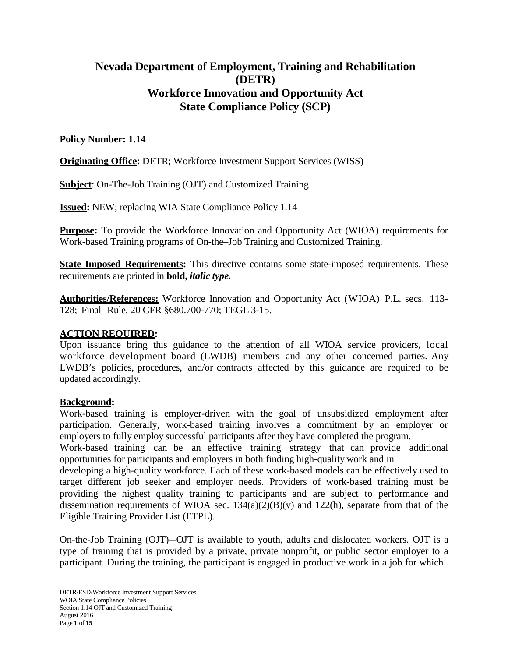# **Nevada Department of Employment, Training and Rehabilitation (DETR) Workforce Innovation and Opportunity Act State Compliance Policy (SCP)**

# **Policy Number: 1.14**

**Originating Office:** DETR; Workforce Investment Support Services (WISS)

**Subject**: On-The-Job Training (OJT) and Customized Training

**Issued:** NEW; replacing WIA State Compliance Policy 1.14

**Purpose:** To provide the Workforce Innovation and Opportunity Act (WIOA) requirements for Work-based Training programs of On-the–Job Training and Customized Training.

**State Imposed Requirements:** This directive contains some state-imposed requirements. These requirements are printed in **bold,** *italic type.*

**Authorities/References:** Workforce Innovation and Opportunity Act (WIOA) P.L. secs. 113- 128; Final Rule, 20 CFR §680.700-770; TEGL 3-15.

## **ACTION REQUIRED:**

Upon issuance bring this guidance to the attention of all WIOA service providers, local workforce development board (LWDB) members and any other concerned parties. Any LWDB's policies, procedures, and/or contracts affected by this guidance are required to be updated accordingly.

# **Background:**

Work-based training is employer-driven with the goal of unsubsidized employment after participation. Generally, work-based training involves a commitment by an employer or employers to fully employ successful participants after they have completed the program.

Work-based training can be an effective training strategy that can provide additional opportunities for participants and employers in both finding high-quality work and in

developing a high-quality workforce. Each of these work-based models can be effectively used to target different job seeker and employer needs. Providers of work-based training must be providing the highest quality training to participants and are subject to performance and dissemination requirements of WIOA sec.  $134(a)(2)(B)(v)$  and  $122(h)$ , separate from that of the Eligible Training Provider List (ETPL).

On-the-Job Training (OJT)—OJT is available to youth, adults and dislocated workers. OJT is a type of training that is provided by a private, private nonprofit, or public sector employer to a participant. During the training, the participant is engaged in productive work in a job for which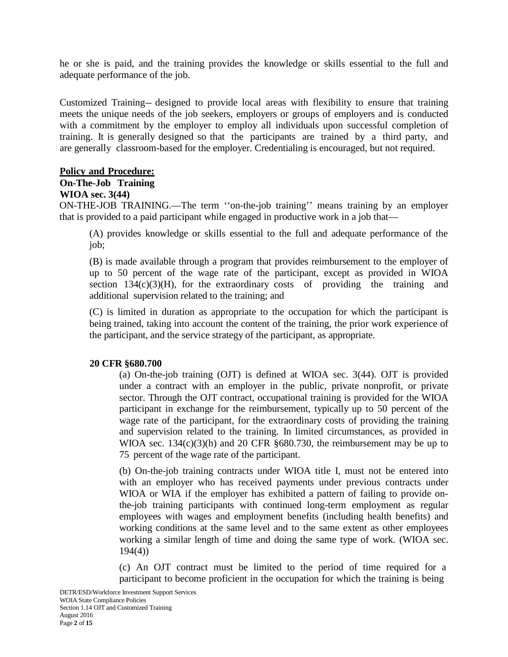he or she is paid, and the training provides the knowledge or skills essential to the full and adequate performance of the job.

Customized Training— designed to provide local areas with flexibility to ensure that training meets the unique needs of the job seekers, employers or groups of employers and is conducted with a commitment by the employer to employ all individuals upon successful completion of training. It is generally designed so that the participants are trained by a third party, and are generally classroom-based for the employer. Credentialing is encouraged, but not required.

#### **Policy and Procedure:**

#### **On-The-Job Training**

#### **WIOA sec. 3(44)**

ON-THE-JOB TRAINING.—The term ''on-the-job training'' means training by an employer that is provided to a paid participant while engaged in productive work in a job that—

(A) provides knowledge or skills essential to the full and adequate performance of the job;

(B) is made available through a program that provides reimbursement to the employer of up to 50 percent of the wage rate of the participant, except as provided in WIOA section  $134(c)(3)(H)$ , for the extraordinary costs of providing the training and additional supervision related to the training; and

(C) is limited in duration as appropriate to the occupation for which the participant is being trained, taking into account the content of the training, the prior work experience of the participant, and the service strategy of the participant, as appropriate.

#### **20 CFR §680.700**

(a) On-the-job training (OJT) is defined at WIOA sec. 3(44). OJT is provided under a contract with an employer in the public, private nonprofit, or private sector. Through the OJT contract, occupational training is provided for the WIOA participant in exchange for the reimbursement, typically up to 50 percent of the wage rate of the participant, for the extraordinary costs of providing the training and supervision related to the training. In limited circumstances, as provided in WIOA sec.  $134(c)(3)(h)$  and 20 CFR §680.730, the reimbursement may be up to 75 percent of the wage rate of the participant.

(b) On-the-job training contracts under WIOA title I, must not be entered into with an employer who has received payments under previous contracts under WIOA or WIA if the employer has exhibited a pattern of failing to provide onthe-job training participants with continued long-term employment as regular employees with wages and employment benefits (including health benefits) and working conditions at the same level and to the same extent as other employees working a similar length of time and doing the same type of work. (WIOA sec. 194(4))

(c) An OJT contract must be limited to the period of time required for a participant to become proficient in the occupation for which the training is being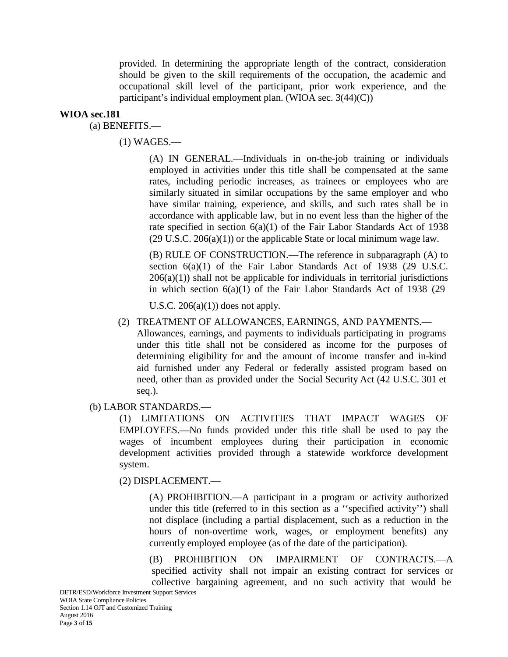provided. In determining the appropriate length of the contract, consideration should be given to the skill requirements of the occupation, the academic and occupational skill level of the participant, prior work experience, and the participant's individual employment plan. (WIOA sec. 3(44)(C))

#### **WIOA sec.181**

(a) BENEFITS.—

(1) WAGES.—

(A) IN GENERAL.—Individuals in on-the-job training or individuals employed in activities under this title shall be compensated at the same rates, including periodic increases, as trainees or employees who are similarly situated in similar occupations by the same employer and who have similar training, experience, and skills, and such rates shall be in accordance with applicable law, but in no event less than the higher of the rate specified in section 6(a)(1) of the Fair Labor Standards Act of 1938 (29 U.S.C. 206(a)(1)) or the applicable State or local minimum wage law.

(B) RULE OF CONSTRUCTION.—The reference in subparagraph (A) to section  $6(a)(1)$  of the Fair Labor Standards Act of 1938 (29 U.S.C.  $206(a)(1)$ ) shall not be applicable for individuals in territorial jurisdictions in which section 6(a)(1) of the Fair Labor Standards Act of 1938 (29

U.S.C.  $206(a)(1)$  does not apply.

#### (2) TREATMENT OF ALLOWANCES, EARNINGS, AND PAYMENTS.—

Allowances, earnings, and payments to individuals participating in programs under this title shall not be considered as income for the purposes of determining eligibility for and the amount of income transfer and in-kind aid furnished under any Federal or federally assisted program based on need, other than as provided under the Social Security Act (42 U.S.C. 301 et seq.).

#### (b) LABOR STANDARDS.—

(1) LIMITATIONS ON ACTIVITIES THAT IMPACT WAGES OF EMPLOYEES.—No funds provided under this title shall be used to pay the wages of incumbent employees during their participation in economic development activities provided through a statewide workforce development system.

#### (2) DISPLACEMENT.—

(A) PROHIBITION.—A participant in a program or activity authorized under this title (referred to in this section as a ''specified activity'') shall not displace (including a partial displacement, such as a reduction in the hours of non-overtime work, wages, or employment benefits) any currently employed employee (as of the date of the participation).

(B) PROHIBITION ON IMPAIRMENT OF CONTRACTS.—A specified activity shall not impair an existing contract for services or collective bargaining agreement, and no such activity that would be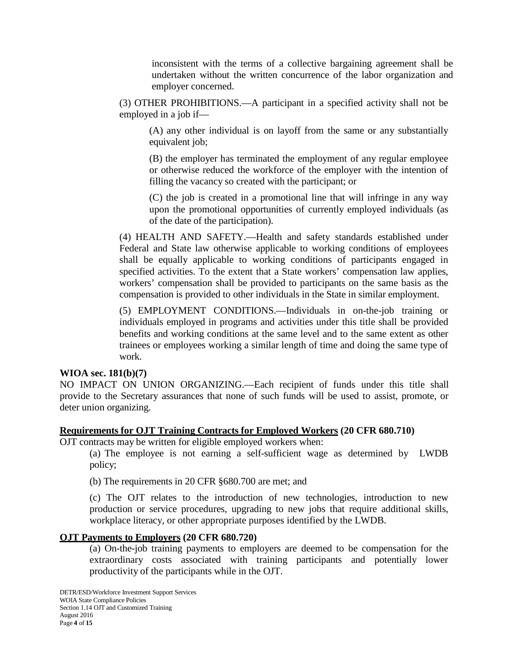inconsistent with the terms of a collective bargaining agreement shall be undertaken without the written concurrence of the labor organization and employer concerned.

(3) OTHER PROHIBITIONS.—A participant in a specified activity shall not be employed in a job if—

(A) any other individual is on layoff from the same or any substantially equivalent job;

(B) the employer has terminated the employment of any regular employee or otherwise reduced the workforce of the employer with the intention of filling the vacancy so created with the participant; or

(C) the job is created in a promotional line that will infringe in any way upon the promotional opportunities of currently employed individuals (as of the date of the participation).

(4) HEALTH AND SAFETY.—Health and safety standards established under Federal and State law otherwise applicable to working conditions of employees shall be equally applicable to working conditions of participants engaged in specified activities. To the extent that a State workers' compensation law applies, workers' compensation shall be provided to participants on the same basis as the compensation is provided to other individuals in the State in similar employment.

(5) EMPLOYMENT CONDITIONS.—Individuals in on-the-job training or individuals employed in programs and activities under this title shall be provided benefits and working conditions at the same level and to the same extent as other trainees or employees working a similar length of time and doing the same type of work.

#### **WIOA sec. 181(b)(7)**

NO IMPACT ON UNION ORGANIZING.—Each recipient of funds under this title shall provide to the Secretary assurances that none of such funds will be used to assist, promote, or deter union organizing.

#### **Requirements for OJT Training Contracts for Employed Workers (20 CFR 680.710)**

OJT contracts may be written for eligible employed workers when:

(a) The employee is not earning a self-sufficient wage as determined by LWDB policy;

(b) The requirements in 20 CFR §680.700 are met; and

(c) The OJT relates to the introduction of new technologies, introduction to new production or service procedures, upgrading to new jobs that require additional skills, workplace literacy, or other appropriate purposes identified by the LWDB.

#### **OJT Payments to Employers (20 CFR 680.720)**

(a) On-the-job training payments to employers are deemed to be compensation for the extraordinary costs associated with training participants and potentially lower productivity of the participants while in the OJT.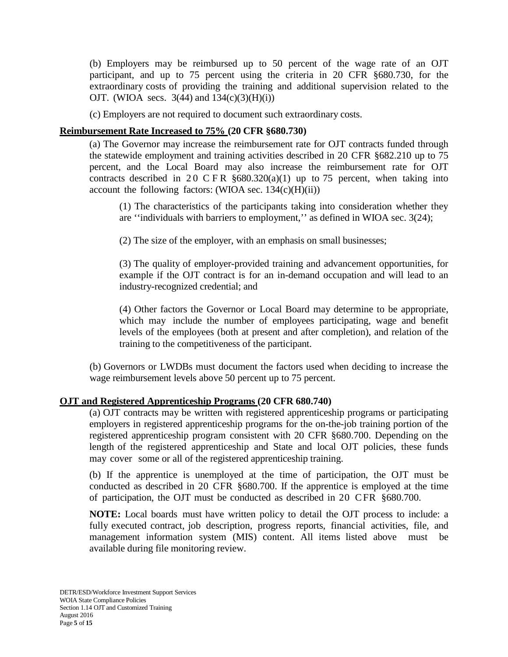(b) Employers may be reimbursed up to 50 percent of the wage rate of an OJT participant, and up to 75 percent using the criteria in 20 CFR §680.730, for the extraordinary costs of providing the training and additional supervision related to the OJT. (WIOA secs.  $3(44)$  and  $134(c)(3)(H)(i)$ )

(c) Employers are not required to document such extraordinary costs.

#### **Reimbursement Rate Increased to 75% (20 CFR §680.730)**

(a) The Governor may increase the reimbursement rate for OJT contracts funded through the statewide employment and training activities described in 20 CFR §682.210 up to 75 percent, and the Local Board may also increase the reimbursement rate for OJT contracts described in 20 C F R  $\S 680.320(a)(1)$  up to 75 percent, when taking into account the following factors:  $(WIOA sec. 134(c)(H)(ii))$ 

(1) The characteristics of the participants taking into consideration whether they are ''individuals with barriers to employment,'' as defined in WIOA sec. 3(24);

(2) The size of the employer, with an emphasis on small businesses;

(3) The quality of employer-provided training and advancement opportunities, for example if the OJT contract is for an in-demand occupation and will lead to an industry-recognized credential; and

(4) Other factors the Governor or Local Board may determine to be appropriate, which may include the number of employees participating, wage and benefit levels of the employees (both at present and after completion), and relation of the training to the competitiveness of the participant.

(b) Governors or LWDBs must document the factors used when deciding to increase the wage reimbursement levels above 50 percent up to 75 percent.

#### **OJT and Registered Apprenticeship Programs (20 CFR 680.740)**

(a) OJT contracts may be written with registered apprenticeship programs or participating employers in registered apprenticeship programs for the on-the-job training portion of the registered apprenticeship program consistent with 20 CFR §680.700. Depending on the length of the registered apprenticeship and State and local OJT policies, these funds may cover some or all of the registered apprenticeship training.

(b) If the apprentice is unemployed at the time of participation, the OJT must be conducted as described in 20 CFR §680.700. If the apprentice is employed at the time of participation, the OJT must be conducted as described in 20 CFR §680.700.

**NOTE:** Local boards must have written policy to detail the OJT process to include: a fully executed contract, job description, progress reports, financial activities, file, and management information system (MIS) content. All items listed above must be available during file monitoring review.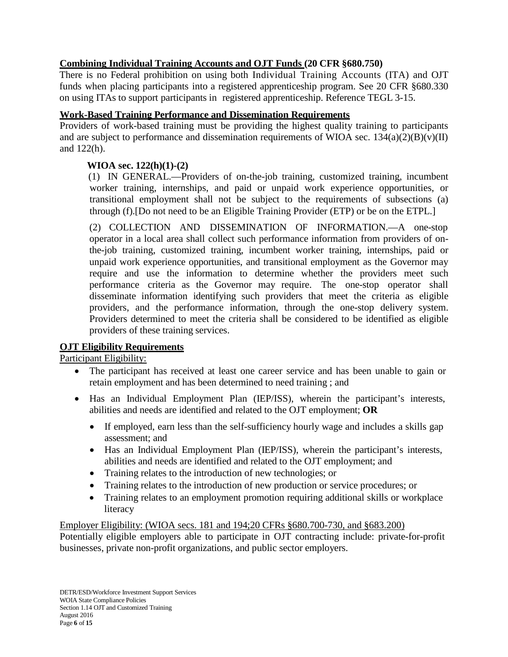# **Combining Individual Training Accounts and OJT Funds (20 CFR §680.750)**

There is no Federal prohibition on using both Individual Training Accounts (ITA) and OJT funds when placing participants into a registered apprenticeship program. See 20 CFR §680.330 on using ITAs to support participants in registered apprenticeship. Reference TEGL 3-15.

## **Work-Based Training Performance and Dissemination Requirements**

Providers of work-based training must be providing the highest quality training to participants and are subject to performance and dissemination requirements of WIOA sec.  $134(a)(2)(B)(v)(II)$ and 122(h).

# **WIOA sec. 122(h)(1)-(2)**

(1) IN GENERAL.—Providers of on-the-job training, customized training, incumbent worker training, internships, and paid or unpaid work experience opportunities, or transitional employment shall not be subject to the requirements of subsections (a) through (f).[Do not need to be an Eligible Training Provider (ETP) or be on the ETPL.]

(2) COLLECTION AND DISSEMINATION OF INFORMATION.—A one-stop operator in a local area shall collect such performance information from providers of onthe-job training, customized training, incumbent worker training, internships, paid or unpaid work experience opportunities, and transitional employment as the Governor may require and use the information to determine whether the providers meet such performance criteria as the Governor may require. The one-stop operator shall disseminate information identifying such providers that meet the criteria as eligible providers, and the performance information, through the one-stop delivery system. Providers determined to meet the criteria shall be considered to be identified as eligible providers of these training services.

# **OJT Eligibility Requirements**

Participant Eligibility:

- The participant has received at least one career service and has been unable to gain or retain employment and has been determined to need training ; and
- Has an Individual Employment Plan (IEP/ISS), wherein the participant's interests, abilities and needs are identified and related to the OJT employment; **OR**
	- If employed, earn less than the self-sufficiency hourly wage and includes a skills gap assessment; and
	- Has an Individual Employment Plan (IEP/ISS), wherein the participant's interests, abilities and needs are identified and related to the OJT employment; and
	- Training relates to the introduction of new technologies; or
	- Training relates to the introduction of new production or service procedures; or
	- Training relates to an employment promotion requiring additional skills or workplace literacy

Employer Eligibility: (WIOA secs. 181 and 194;20 CFRs §680.700-730, and §683.200) Potentially eligible employers able to participate in OJT contracting include: private-for-profit businesses, private non-profit organizations, and public sector employers.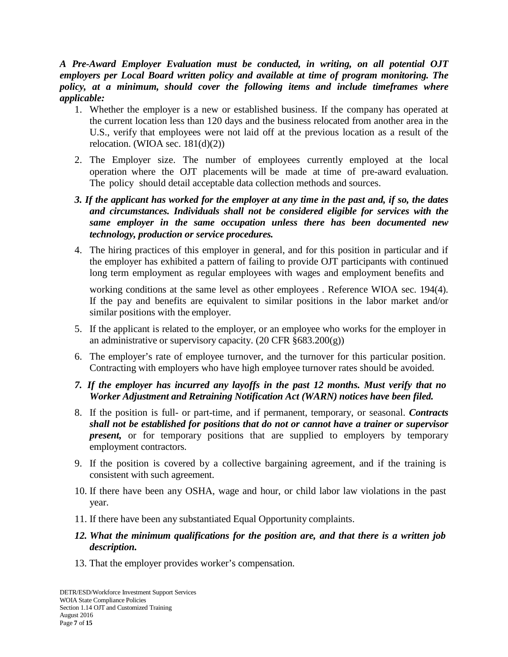*A Pre-Award Employer Evaluation must be conducted, in writing, on all potential OJT employers per Local Board written policy and available at time of program monitoring. The policy, at a minimum, should cover the following items and include timeframes where applicable:*

- 1. Whether the employer is a new or established business. If the company has operated at the current location less than 120 days and the business relocated from another area in the U.S., verify that employees were not laid off at the previous location as a result of the relocation. (WIOA sec.  $181(d)(2)$ )
- 2. The Employer size. The number of employees currently employed at the local operation where the OJT placements will be made at time of pre-award evaluation. The policy should detail acceptable data collection methods and sources.
- 3. If the applicant has worked for the employer at any time in the past and, if so, the dates *and circumstances. Individuals shall not be considered eligible for services with the same employer in the same occupation unless there has been documented new technology, production or service procedures.*
- 4. The hiring practices of this employer in general, and for this position in particular and if the employer has exhibited a pattern of failing to provide OJT participants with continued long term employment as regular employees with wages and employment benefits and

working conditions at the same level as other employees . Reference WIOA sec. 194(4). If the pay and benefits are equivalent to similar positions in the labor market and/or similar positions with the employer.

- 5. If the applicant is related to the employer, or an employee who works for the employer in an administrative or supervisory capacity. (20 CFR §683.200(g))
- 6. The employer's rate of employee turnover, and the turnover for this particular position. Contracting with employers who have high employee turnover rates should be avoided.
- *7. If the employer has incurred any layoffs in the past 12 months. Must verify that no Worker Adjustment and Retraining Notification Act (WARN) notices have been filed.*
- 8. If the position is full- or part-time, and if permanent, temporary, or seasonal. *Contracts shall not be established for positions that do not or cannot have a trainer or supervisor present,* or for temporary positions that are supplied to employers by temporary employment contractors.
- 9. If the position is covered by a collective bargaining agreement, and if the training is consistent with such agreement.
- 10. If there have been any OSHA, wage and hour, or child labor law violations in the past year.
- 11. If there have been any substantiated Equal Opportunity complaints.
- *12. What the minimum qualifications for the position are, and that there is a written job description.*
- 13. That the employer provides worker's compensation.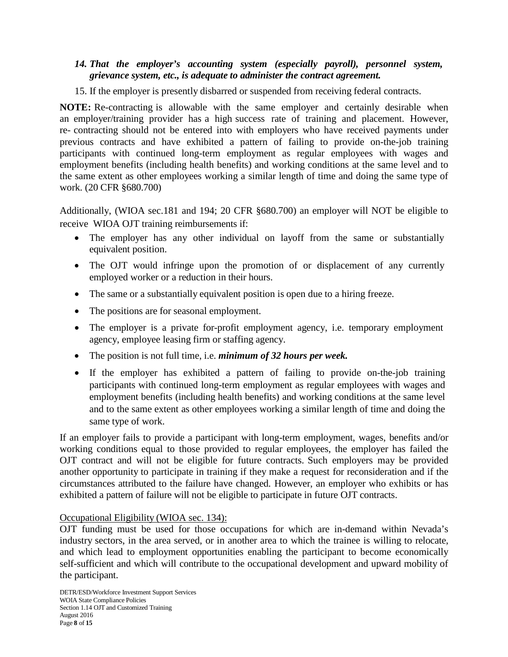### *14. That the employer's accounting system (especially payroll), personnel system, grievance system, etc., is adequate to administer the contract agreement.*

15. If the employer is presently disbarred or suspended from receiving federal contracts.

**NOTE:** Re-contracting is allowable with the same employer and certainly desirable when an employer/training provider has a high success rate of training and placement. However, re- contracting should not be entered into with employers who have received payments under previous contracts and have exhibited a pattern of failing to provide on-the-job training participants with continued long-term employment as regular employees with wages and employment benefits (including health benefits) and working conditions at the same level and to the same extent as other employees working a similar length of time and doing the same type of work. (20 CFR §680.700)

Additionally, (WIOA sec.181 and 194; 20 CFR §680.700) an employer will NOT be eligible to receive WIOA OJT training reimbursements if:

- The employer has any other individual on layoff from the same or substantially equivalent position.
- The OJT would infringe upon the promotion of or displacement of any currently employed worker or a reduction in their hours.
- The same or a substantially equivalent position is open due to a hiring freeze.
- The positions are for seasonal employment.
- The employer is a private for-profit employment agency, i.e. temporary employment agency, employee leasing firm or staffing agency.
- The position is not full time, i.e. *minimum of 32 hours per week.*
- If the employer has exhibited a pattern of failing to provide on-the-job training participants with continued long-term employment as regular employees with wages and employment benefits (including health benefits) and working conditions at the same level and to the same extent as other employees working a similar length of time and doing the same type of work.

If an employer fails to provide a participant with long-term employment, wages, benefits and/or working conditions equal to those provided to regular employees, the employer has failed the OJT contract and will not be eligible for future contracts. Such employers may be provided another opportunity to participate in training if they make a request for reconsideration and if the circumstances attributed to the failure have changed. However, an employer who exhibits or has exhibited a pattern of failure will not be eligible to participate in future OJT contracts.

#### Occupational Eligibility (WIOA sec. 134):

OJT funding must be used for those occupations for which are in-demand within Nevada's industry sectors, in the area served, or in another area to which the trainee is willing to relocate, and which lead to employment opportunities enabling the participant to become economically self-sufficient and which will contribute to the occupational development and upward mobility of the participant.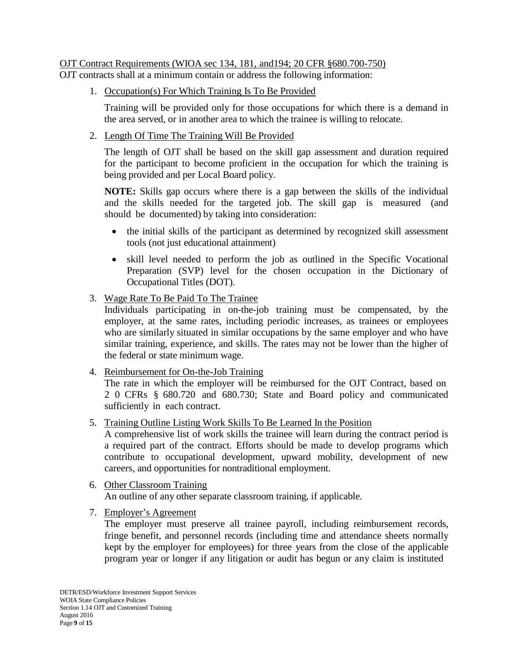# OJT Contract Requirements (WIOA sec 134, 181, and194; 20 CFR §680.700-750)

OJT contracts shall at a minimum contain or address the following information:

1. Occupation(s) For Which Training Is To Be Provided

Training will be provided only for those occupations for which there is a demand in the area served, or in another area to which the trainee is willing to relocate.

2. Length Of Time The Training Will Be Provided

The length of OJT shall be based on the skill gap assessment and duration required for the participant to become proficient in the occupation for which the training is being provided and per Local Board policy.

**NOTE:** Skills gap occurs where there is a gap between the skills of the individual and the skills needed for the targeted job. The skill gap is measured (and should be documented) by taking into consideration:

- the initial skills of the participant as determined by recognized skill assessment tools (not just educational attainment)
- skill level needed to perform the job as outlined in the Specific Vocational Preparation (SVP) level for the chosen occupation in the Dictionary of Occupational Titles (DOT).
- 3. Wage Rate To Be Paid To The Trainee

Individuals participating in on-the-job training must be compensated, by the employer, at the same rates, including periodic increases, as trainees or employees who are similarly situated in similar occupations by the same employer and who have similar training, experience, and skills. The rates may not be lower than the higher of the federal or state minimum wage.

4. Reimbursement for On-the-Job Training

The rate in which the employer will be reimbursed for the OJT Contract, based on 2 0 CFRs § 680.720 and 680.730; State and Board policy and communicated sufficiently in each contract.

5. Training Outline Listing Work Skills To Be Learned In the Position

A comprehensive list of work skills the trainee will learn during the contract period is a required part of the contract. Efforts should be made to develop programs which contribute to occupational development, upward mobility, development of new careers, and opportunities for nontraditional employment.

- 6. Other Classroom Training An outline of any other separate classroom training, if applicable.
- 7. Employer's Agreement

The employer must preserve all trainee payroll, including reimbursement records, fringe benefit, and personnel records (including time and attendance sheets normally kept by the employer for employees) for three years from the close of the applicable program year or longer if any litigation or audit has begun or any claim is instituted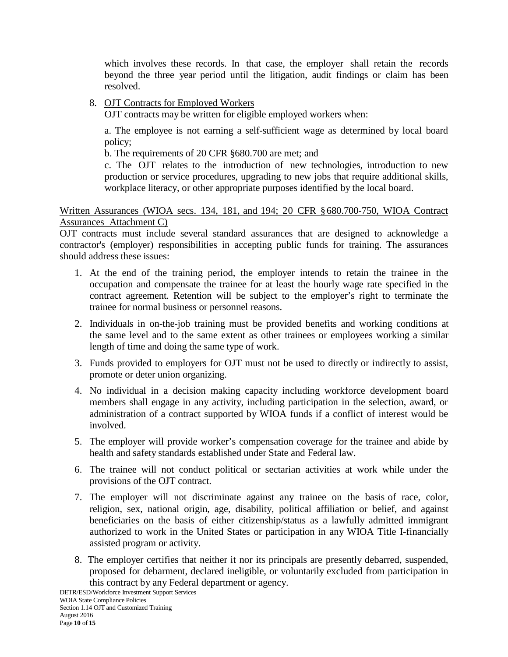which involves these records. In that case, the employer shall retain the records beyond the three year period until the litigation, audit findings or claim has been resolved.

## 8. OJT Contracts for Employed Workers

OJT contracts may be written for eligible employed workers when:

a. The employee is not earning a self-sufficient wage as determined by local board policy;

b. The requirements of 20 CFR §680.700 are met; and

c. The OJT relates to the introduction of new technologies, introduction to new production or service procedures, upgrading to new jobs that require additional skills, workplace literacy, or other appropriate purposes identified by the local board.

Written Assurances (WIOA secs. 134, 181, and 194; 20 CFR §680.700-750, WIOA Contract Assurances Attachment C)

OJT contracts must include several standard assurances that are designed to acknowledge a contractor's (employer) responsibilities in accepting public funds for training. The assurances should address these issues:

- 1. At the end of the training period, the employer intends to retain the trainee in the occupation and compensate the trainee for at least the hourly wage rate specified in the contract agreement. Retention will be subject to the employer's right to terminate the trainee for normal business or personnel reasons.
- 2. Individuals in on-the-job training must be provided benefits and working conditions at the same level and to the same extent as other trainees or employees working a similar length of time and doing the same type of work.
- 3. Funds provided to employers for OJT must not be used to directly or indirectly to assist, promote or deter union organizing.
- 4. No individual in a decision making capacity including workforce development board members shall engage in any activity, including participation in the selection, award, or administration of a contract supported by WIOA funds if a conflict of interest would be involved.
- 5. The employer will provide worker's compensation coverage for the trainee and abide by health and safety standards established under State and Federal law.
- 6. The trainee will not conduct political or sectarian activities at work while under the provisions of the OJT contract.
- 7. The employer will not discriminate against any trainee on the basis of race, color, religion, sex, national origin, age, disability, political affiliation or belief, and against beneficiaries on the basis of either citizenship/status as a lawfully admitted immigrant authorized to work in the United States or participation in any WIOA Title I-financially assisted program or activity.
- 8. The employer certifies that neither it nor its principals are presently debarred, suspended, proposed for debarment, declared ineligible, or voluntarily excluded from participation in this contract by any Federal department or agency.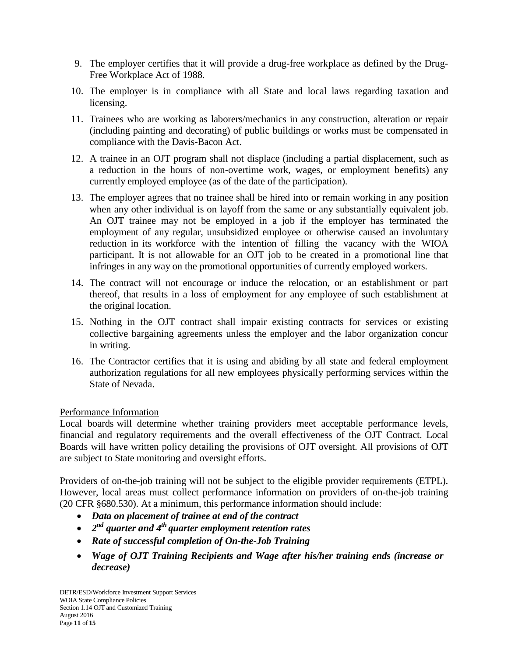- 9. The employer certifies that it will provide a drug-free workplace as defined by the Drug-Free Workplace Act of 1988.
- 10. The employer is in compliance with all State and local laws regarding taxation and licensing.
- 11. Trainees who are working as laborers/mechanics in any construction, alteration or repair (including painting and decorating) of public buildings or works must be compensated in compliance with the Davis-Bacon Act.
- 12. A trainee in an OJT program shall not displace (including a partial displacement, such as a reduction in the hours of non-overtime work, wages, or employment benefits) any currently employed employee (as of the date of the participation).
- 13. The employer agrees that no trainee shall be hired into or remain working in any position when any other individual is on layoff from the same or any substantially equivalent job. An OJT trainee may not be employed in a job if the employer has terminated the employment of any regular, unsubsidized employee or otherwise caused an involuntary reduction in its workforce with the intention of filling the vacancy with the WIOA participant. It is not allowable for an OJT job to be created in a promotional line that infringes in any way on the promotional opportunities of currently employed workers.
- 14. The contract will not encourage or induce the relocation, or an establishment or part thereof, that results in a loss of employment for any employee of such establishment at the original location.
- 15. Nothing in the OJT contract shall impair existing contracts for services or existing collective bargaining agreements unless the employer and the labor organization concur in writing.
- 16. The Contractor certifies that it is using and abiding by all state and federal employment authorization regulations for all new employees physically performing services within the State of Nevada.

# Performance Information

Local boards will determine whether training providers meet acceptable performance levels, financial and regulatory requirements and the overall effectiveness of the OJT Contract. Local Boards will have written policy detailing the provisions of OJT oversight. All provisions of OJT are subject to State monitoring and oversight efforts.

Providers of on-the-job training will not be subject to the eligible provider requirements (ETPL). However, local areas must collect performance information on providers of on-the-job training (20 CFR §680.530). At a minimum, this performance information should include:

- *Data on placement of trainee at end of the contract*
- *2nd quarter and 4th quarter employment retention rates*
- *Rate of successful completion of On-the-Job Training*
- *Wage of OJT Training Recipients and Wage after his/her training ends (increase or decrease)*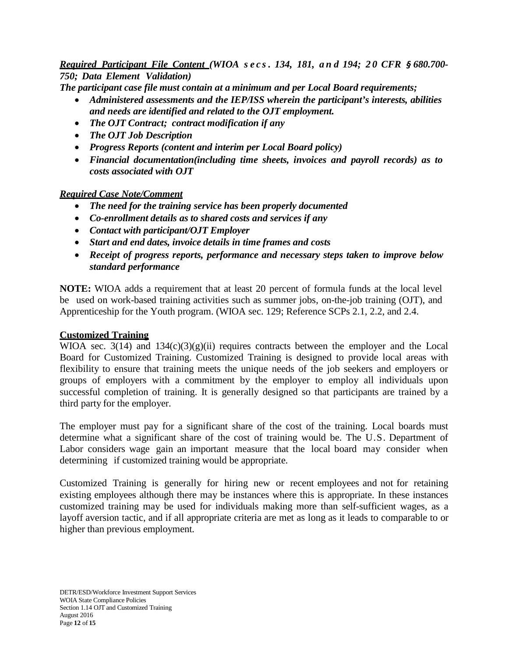# Required Participant File Content (WIOA secs. 134, 181, and 194; 20 CFR § 680.700-*750; Data Element Validation)*

*The participant case file must contain at a minimum and per Local Board requirements;*

- *Administered assessments and the IEP/ISS wherein the participant's interests, abilities and needs are identified and related to the OJT employment.*
- *The OJT Contract; contract modification if any*
- *The OJT Job Description*
- *Progress Reports (content and interim per Local Board policy)*
- *Financial documentation(including time sheets, invoices and payroll records) as to costs associated with OJT*

### *Required Case Note/Comment*

- *The need for the training service has been properly documented*
- *Co-enrollment details as to shared costs and services if any*
- *Contact with participant/OJT Employer*
- *Start and end dates, invoice details in time frames and costs*
- *Receipt of progress reports, performance and necessary steps taken to improve below standard performance*

**NOTE:** WIOA adds a requirement that at least 20 percent of formula funds at the local level be used on work-based training activities such as summer jobs, on-the-job training (OJT), and Apprenticeship for the Youth program. (WIOA sec. 129; Reference SCPs 2.1, 2.2, and 2.4.

# **Customized Training**

WIOA sec.  $3(14)$  and  $134(c)(3)(g)(ii)$  requires contracts between the employer and the Local Board for Customized Training. Customized Training is designed to provide local areas with flexibility to ensure that training meets the unique needs of the job seekers and employers or groups of employers with a commitment by the employer to employ all individuals upon successful completion of training. It is generally designed so that participants are trained by a third party for the employer.

The employer must pay for a significant share of the cost of the training. Local boards must determine what a significant share of the cost of training would be. The U.S. Department of Labor considers wage gain an important measure that the local board may consider when determining if customized training would be appropriate.

Customized Training is generally for hiring new or recent employees and not for retaining existing employees although there may be instances where this is appropriate. In these instances customized training may be used for individuals making more than self-sufficient wages, as a layoff aversion tactic, and if all appropriate criteria are met as long as it leads to comparable to or higher than previous employment.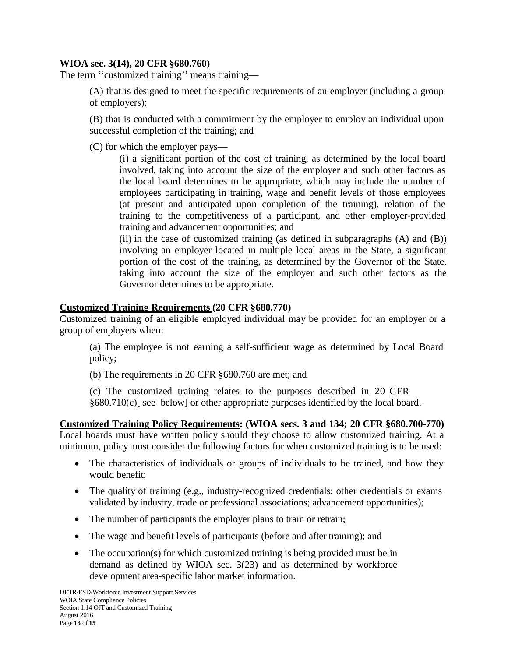### **WIOA sec. 3(14), 20 CFR §680.760)**

The term ''customized training'' means training—

(A) that is designed to meet the specific requirements of an employer (including a group of employers);

(B) that is conducted with a commitment by the employer to employ an individual upon successful completion of the training; and

(C) for which the employer pays—

(i) a significant portion of the cost of training, as determined by the local board involved, taking into account the size of the employer and such other factors as the local board determines to be appropriate, which may include the number of employees participating in training, wage and benefit levels of those employees (at present and anticipated upon completion of the training), relation of the training to the competitiveness of a participant, and other employer-provided training and advancement opportunities; and

(ii) in the case of customized training (as defined in subparagraphs (A) and (B)) involving an employer located in multiple local areas in the State, a significant portion of the cost of the training, as determined by the Governor of the State, taking into account the size of the employer and such other factors as the Governor determines to be appropriate.

### **Customized Training Requirements (20 CFR §680.770)**

Customized training of an eligible employed individual may be provided for an employer or a group of employers when:

(a) The employee is not earning a self-sufficient wage as determined by Local Board policy;

(b) The requirements in 20 CFR §680.760 are met; and

(c) The customized training relates to the purposes described in 20 CFR §680.710(c)[ see below] or other appropriate purposes identified by the local board.

**Customized Training Policy Requirements: (WIOA secs. 3 and 134; 20 CFR §680.700-770)** Local boards must have written policy should they choose to allow customized training. At a minimum, policy must consider the following factors for when customized training is to be used:

- The characteristics of individuals or groups of individuals to be trained, and how they would benefit;
- The quality of training (e.g., industry-recognized credentials; other credentials or exams validated by industry, trade or professional associations; advancement opportunities);
- The number of participants the employer plans to train or retrain;
- The wage and benefit levels of participants (before and after training); and
- The occupation(s) for which customized training is being provided must be in demand as defined by WIOA sec. 3(23) and as determined by workforce development area-specific labor market information.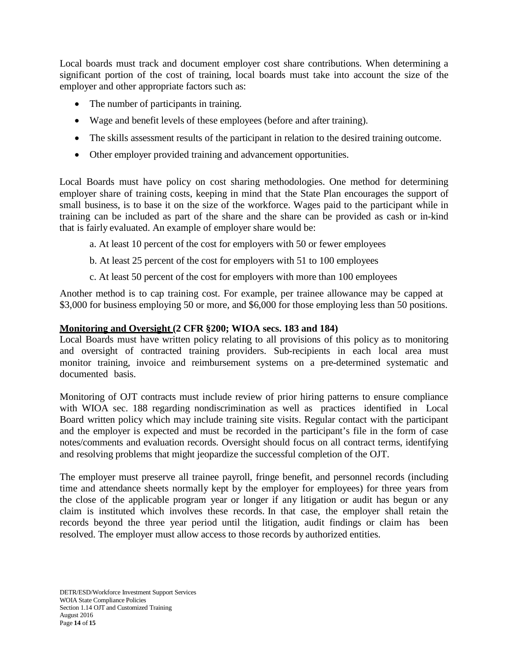Local boards must track and document employer cost share contributions. When determining a significant portion of the cost of training, local boards must take into account the size of the employer and other appropriate factors such as:

- The number of participants in training.
- Wage and benefit levels of these employees (before and after training).
- The skills assessment results of the participant in relation to the desired training outcome.
- Other employer provided training and advancement opportunities.

Local Boards must have policy on cost sharing methodologies. One method for determining employer share of training costs, keeping in mind that the State Plan encourages the support of small business, is to base it on the size of the workforce. Wages paid to the participant while in training can be included as part of the share and the share can be provided as cash or in-kind that is fairly evaluated. An example of employer share would be:

- a. At least 10 percent of the cost for employers with 50 or fewer employees
- b. At least 25 percent of the cost for employers with 51 to 100 employees
- c. At least 50 percent of the cost for employers with more than 100 employees

Another method is to cap training cost. For example, per trainee allowance may be capped at \$3,000 for business employing 50 or more, and \$6,000 for those employing less than 50 positions.

# **Monitoring and Oversight (2 CFR §200; WIOA secs. 183 and 184)**

Local Boards must have written policy relating to all provisions of this policy as to monitoring and oversight of contracted training providers. Sub-recipients in each local area must monitor training, invoice and reimbursement systems on a pre-determined systematic and documented basis.

Monitoring of OJT contracts must include review of prior hiring patterns to ensure compliance with WIOA sec. 188 regarding nondiscrimination as well as practices identified in Local Board written policy which may include training site visits. Regular contact with the participant and the employer is expected and must be recorded in the participant's file in the form of case notes/comments and evaluation records. Oversight should focus on all contract terms, identifying and resolving problems that might jeopardize the successful completion of the OJT.

The employer must preserve all trainee payroll, fringe benefit, and personnel records (including time and attendance sheets normally kept by the employer for employees) for three years from the close of the applicable program year or longer if any litigation or audit has begun or any claim is instituted which involves these records. In that case, the employer shall retain the records beyond the three year period until the litigation, audit findings or claim has been resolved. The employer must allow access to those records by authorized entities.